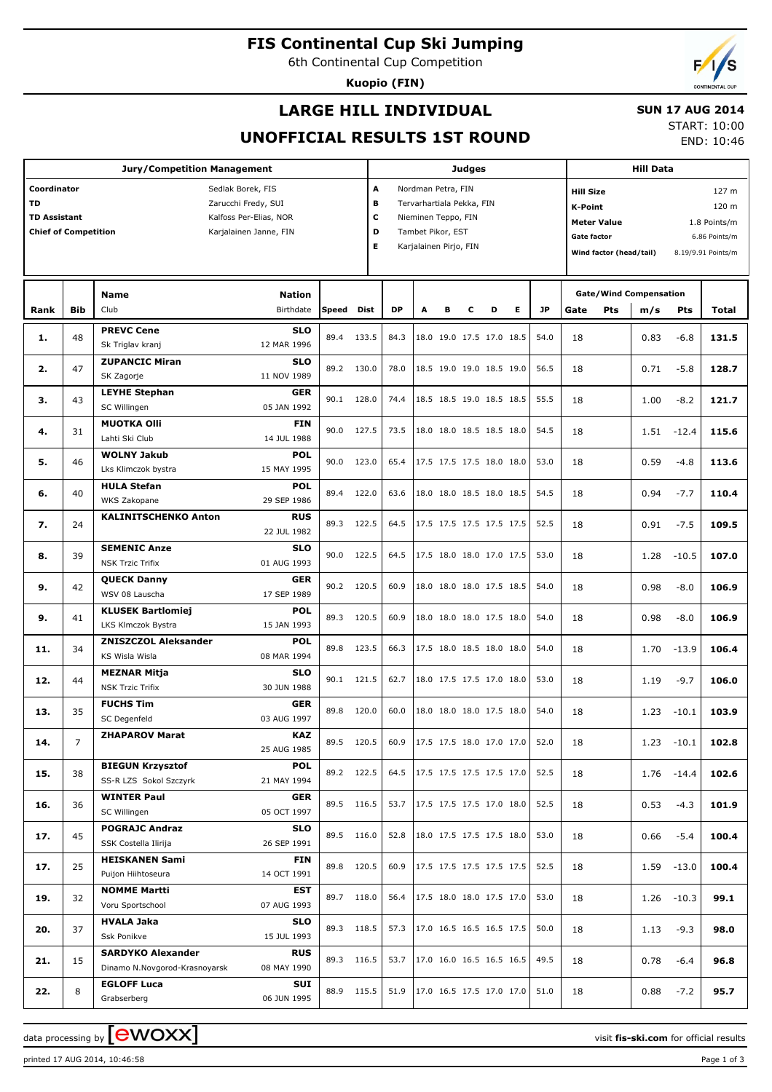**FIS Continental Cup Ski Jumping**

6th Continental Cup Competition

**Kuopio (FIN)**

# **LARGE HILL INDIVIDUAL**

## **SUN 17 AUG 2014**

**UNOFFICIAL RESULTS 1ST ROUND**

START: 10:00 END: 10:46

| <b>Jury/Competition Management</b>                                                                                                                                             |            |                                                                          |                                          |              |                          |                                                                                                                                                | <b>Judges</b> |   |   |                                                       |   |                                                                                                                                                                                               |          | <b>Hill Data</b> |                                      |                                |                |  |
|--------------------------------------------------------------------------------------------------------------------------------------------------------------------------------|------------|--------------------------------------------------------------------------|------------------------------------------|--------------|--------------------------|------------------------------------------------------------------------------------------------------------------------------------------------|---------------|---|---|-------------------------------------------------------|---|-----------------------------------------------------------------------------------------------------------------------------------------------------------------------------------------------|----------|------------------|--------------------------------------|--------------------------------|----------------|--|
| Coordinator<br>Sedlak Borek, FIS<br><b>TD</b><br>Zarucchi Fredy, SUI<br><b>TD Assistant</b><br>Kalfoss Per-Elias, NOR<br><b>Chief of Competition</b><br>Karjalainen Janne, FIN |            |                                                                          |                                          |              |                          | A<br>Nordman Petra, FIN<br>в<br>Tervarhartiala Pekka, FIN<br>c<br>Nieminen Teppo, FIN<br>D<br>Tambet Pikor, EST<br>Е<br>Karjalainen Pirjo, FIN |               |   |   |                                                       |   | <b>Hill Size</b><br>127 <sub>m</sub><br><b>K-Point</b><br>120 m<br><b>Meter Value</b><br>1.8 Points/m<br><b>Gate factor</b><br>6.86 Points/m<br>Wind factor (head/tail)<br>8.19/9.91 Points/m |          |                  |                                      |                                |                |  |
| Rank                                                                                                                                                                           | <b>Bib</b> | Name<br>Club                                                             | <b>Nation</b><br>Birthdate               | Speed        | Dist                     | <b>DP</b>                                                                                                                                      | A             | в | С | D                                                     | Е | JP                                                                                                                                                                                            | Gate     | Pts              | <b>Gate/Wind Compensation</b><br>m/s | Pts                            | Total          |  |
| 1.                                                                                                                                                                             | 48         | <b>PREVC Cene</b><br>Sk Triglav kranj                                    | <b>SLO</b><br>12 MAR 1996                | 89.4         | 133.5                    | 84.3                                                                                                                                           |               |   |   | 18.0 19.0 17.5 17.0 18.5                              |   | 54.0                                                                                                                                                                                          | 18       |                  | 0.83                                 | $-6.8$                         | 131.5          |  |
| 2.                                                                                                                                                                             | 47         | <b>ZUPANCIC Miran</b><br>SK Zagorje                                      | <b>SLO</b><br>11 NOV 1989                | 89.2         | 130.0                    | 78.0                                                                                                                                           |               |   |   | 18.5 19.0 19.0 18.5 19.0                              |   | 56.5                                                                                                                                                                                          | 18       |                  | 0.71                                 | $-5.8$                         | 128.7          |  |
| 3.                                                                                                                                                                             | 43         | <b>LEYHE Stephan</b><br>SC Willingen                                     | <b>GER</b><br>05 JAN 1992                | 90.1         | 128.0                    | 74.4                                                                                                                                           |               |   |   | 18.5 18.5 19.0 18.5 18.5                              |   | 55.5                                                                                                                                                                                          | 18       |                  | 1.00                                 | $-8.2$                         | 121.7          |  |
| 4.                                                                                                                                                                             | 31         | <b>MUOTKA OIII</b><br>Lahti Ski Club<br><b>WOLNY Jakub</b>               | <b>FIN</b><br>14 JUL 1988<br><b>POL</b>  | 90.0         | 127.5                    | 73.5                                                                                                                                           |               |   |   | 18.0 18.0 18.5 18.5 18.0                              |   | 54.5                                                                                                                                                                                          | 18       |                  | 1.51                                 | $-12.4$                        | 115.6          |  |
| 5.                                                                                                                                                                             | 46         | Lks Klimczok bystra<br><b>HULA Stefan</b>                                | 15 MAY 1995<br><b>POL</b>                | 90.0         | 123.0                    | 65.4                                                                                                                                           |               |   |   | 17.5 17.5 17.5 18.0 18.0                              |   | 53.0                                                                                                                                                                                          | 18       |                  | 0.59                                 | $-4.8$                         | 113.6          |  |
| 6.                                                                                                                                                                             | 40         | WKS Zakopane<br><b>KALINITSCHENKO Anton</b>                              | 29 SEP 1986<br><b>RUS</b>                | 89.4         | 122.0                    | 63.6                                                                                                                                           |               |   |   | 18.0 18.0 18.5 18.0 18.5                              |   | 54.5                                                                                                                                                                                          | 18       |                  | 0.94                                 | $-7.7$                         | 110.4          |  |
| 7.<br>8.                                                                                                                                                                       | 24<br>39   | <b>SEMENIC Anze</b>                                                      | 22 JUL 1982<br><b>SLO</b>                | 89.3<br>90.0 | 122.5<br>122.5           | 64.5<br>64.5                                                                                                                                   |               |   |   | 17.5 17.5 17.5 17.5 17.5<br>17.5 18.0 18.0 17.0 17.5  |   | 52.5<br>53.0                                                                                                                                                                                  | 18<br>18 |                  | 0.91<br>1.28                         | $-7.5$<br>$-10.5$              | 109.5<br>107.0 |  |
| 9.                                                                                                                                                                             | 42         | <b>NSK Trzic Trifix</b><br><b>OUECK Danny</b><br>WSV 08 Lauscha          | 01 AUG 1993<br><b>GER</b><br>17 SEP 1989 |              | 90.2 120.5               | 60.9                                                                                                                                           |               |   |   | 18.0 18.0 18.0 17.5 18.5                              |   | 54.0                                                                                                                                                                                          | 18       |                  | 0.98                                 | $-8.0$                         | 106.9          |  |
| 9.                                                                                                                                                                             | 41         | <b>KLUSEK Bartlomiej</b><br>LKS Klmczok Bystra                           | <b>POL</b><br>15 JAN 1993                | 89.3         | 120.5                    | 60.9                                                                                                                                           |               |   |   | 18.0 18.0 18.0 17.5 18.0                              |   | 54.0                                                                                                                                                                                          | 18       |                  | 0.98                                 | $-8.0$                         | 106.9          |  |
| 11.                                                                                                                                                                            | 34         | <b>ZNISZCZOL Aleksander</b><br>KS Wisla Wisla                            | <b>POL</b><br>08 MAR 1994                | 89.8         | 123.5                    | 66.3                                                                                                                                           |               |   |   | 17.5 18.0 18.5 18.0 18.0                              |   | 54.0                                                                                                                                                                                          | 18       |                  | 1.70                                 | $-13.9$                        | 106.4          |  |
| 12.                                                                                                                                                                            | 44         | <b>MEZNAR Mitja</b><br><b>NSK Trzic Trifix</b>                           | <b>SLO</b><br>30 JUN 1988                | 90.1         | 121.5                    | 62.7                                                                                                                                           |               |   |   | 18.0 17.5 17.5 17.0 18.0                              |   | 53.0                                                                                                                                                                                          | 18       |                  | 1.19                                 | $-9.7$                         | 106.0          |  |
| 13.                                                                                                                                                                            | 35         | <b>FUCHS Tim</b><br>SC Degenfeld<br><b>ZHAPAROV Marat</b>                | <b>GER</b><br>03 AUG 1997<br><b>KAZ</b>  | 89.8         | 120.0                    | 60.0                                                                                                                                           |               |   |   | 18.0 18.0 18.0 17.5 18.0                              |   | 54.0                                                                                                                                                                                          | 18       |                  | 1.23                                 | $-10.1$                        | 103.9          |  |
| 14.                                                                                                                                                                            | 7.         | <b>BIEGUN Krzysztof</b>                                                  | 25 AUG 1985<br><b>POL</b>                |              | 89.5 120.5               |                                                                                                                                                |               |   |   | 60.9 17.5 17.5 18.0 17.0 17.0 52.0                    |   |                                                                                                                                                                                               | 18       |                  | 1.23                                 | $-10.1$                        | 102.8          |  |
| 15.                                                                                                                                                                            | 38         | SS-R LZS Sokol Szczyrk<br><b>WINTER Paul</b>                             | 21 MAY 1994<br><b>GER</b>                |              | 89.2 122.5               |                                                                                                                                                |               |   |   | 64.5   17.5 17.5 17.5 17.5 17.0                       |   | 52.5                                                                                                                                                                                          | 18       |                  |                                      | $1.76 - 14.4$                  | 102.6          |  |
| 16.                                                                                                                                                                            | 36         | SC Willingen<br><b>POGRAJC Andraz</b>                                    | 05 OCT 1997<br><b>SLO</b>                |              | 89.5 116.5               | 53.7                                                                                                                                           |               |   |   | 17.5 17.5 17.5 17.0 18.0                              |   | 52.5                                                                                                                                                                                          | 18       |                  | 0.53                                 | $-4.3$                         | 101.9          |  |
| 17.                                                                                                                                                                            | 45         | SSK Costella Ilirija<br><b>HEISKANEN Sami</b>                            | 26 SEP 1991<br>FIN                       |              | 89.5 116.0<br>89.8 120.5 | 52.8<br>60.9                                                                                                                                   |               |   |   | 18.0 17.5 17.5 17.5 18.0<br> 17.5 17.5 17.5 17.5 17.5 |   | 53.0<br>52.5                                                                                                                                                                                  | 18       |                  | 0.66                                 | $-5.4$                         | 100.4          |  |
| 17.<br>19.                                                                                                                                                                     | 25<br>32   | Puijon Hiihtoseura<br><b>NOMME Martti</b>                                | 14 OCT 1991<br>EST                       |              | 89.7 118.0               | 56.4                                                                                                                                           |               |   |   | 17.5 18.0 18.0 17.5 17.0                              |   | 53.0                                                                                                                                                                                          | 18<br>18 |                  |                                      | $1.59 - 13.0$<br>$1.26 - 10.3$ | 100.4<br>99.1  |  |
| 20.                                                                                                                                                                            | 37         | Voru Sportschool<br><b>HVALA Jaka</b>                                    | 07 AUG 1993<br><b>SLO</b>                |              | 89.3 118.5               | 57.3                                                                                                                                           |               |   |   | 17.0 16.5 16.5 16.5 17.5                              |   | 50.0                                                                                                                                                                                          | 18       |                  | 1.13                                 | $-9.3$                         | 98.0           |  |
| 21.                                                                                                                                                                            | 15         | Ssk Ponikve<br><b>SARDYKO Alexander</b><br>Dinamo N.Novgorod-Krasnoyarsk | 15 JUL 1993<br><b>RUS</b><br>08 MAY 1990 |              | 89.3 116.5               | 53.7                                                                                                                                           |               |   |   | 17.0 16.0 16.5 16.5 16.5                              |   | 49.5                                                                                                                                                                                          | 18       |                  | 0.78                                 | $-6.4$                         | 96.8           |  |
| 22.                                                                                                                                                                            | 8          | <b>EGLOFF Luca</b><br>Grabserberg                                        | SUI<br>06 JUN 1995                       |              | 88.9 115.5               | 51.9                                                                                                                                           |               |   |   | 17.0 16.5 17.5 17.0 17.0                              |   | 51.0                                                                                                                                                                                          | 18       |                  | 0.88                                 | $-7.2$                         | 95.7           |  |

data processing by **CWOXX** and  $\overline{C}$  and  $\overline{C}$  and  $\overline{C}$  and  $\overline{C}$  and  $\overline{C}$  and  $\overline{C}$  and  $\overline{C}$  and  $\overline{C}$  and  $\overline{C}$  and  $\overline{C}$  and  $\overline{C}$  and  $\overline{C}$  and  $\overline{C}$  and  $\overline{C}$  and  $\overline{C}$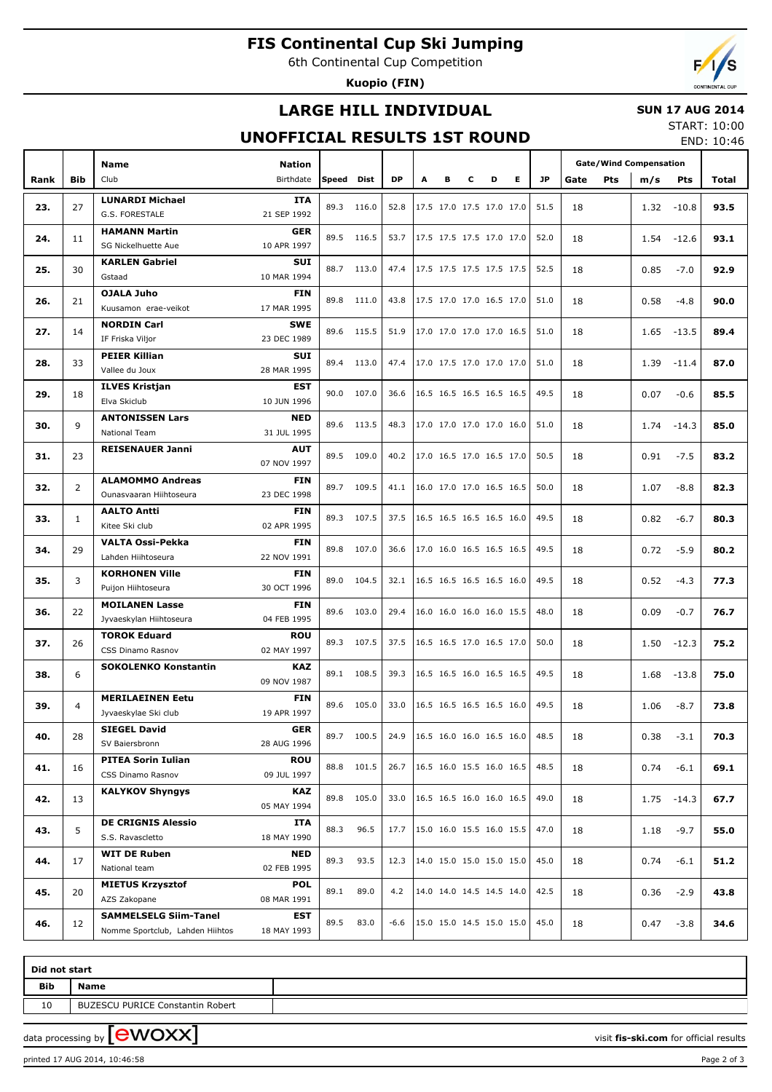# **FIS Continental Cup Ski Jumping**

6th Continental Cup Competition

**Kuopio (FIN)**

# **LARGE HILL INDIVIDUAL**

### **SUN 17 AUG 2014**

## **UNOFFICIAL RESULTS 1ST ROUND**

START: 10:00 END: 10:46

|      |                | <b>Name</b>                                                        |                           |            |            |           |                          |                          |                          |                          |      | <b>Gate/Wind Compensation</b> |      |      |        |               |       |
|------|----------------|--------------------------------------------------------------------|---------------------------|------------|------------|-----------|--------------------------|--------------------------|--------------------------|--------------------------|------|-------------------------------|------|------|--------|---------------|-------|
| Rank | <b>Bib</b>     | Club                                                               | Nation<br>Birthdate       | Speed Dist |            | <b>DP</b> | A                        | в                        | c                        | D                        | Е    | <b>JP</b>                     | Gate | Pts  | m/s    | <b>Pts</b>    | Total |
|      |                | <b>LUNARDI Michael</b>                                             | <b>ITA</b>                |            |            |           |                          |                          |                          |                          |      |                               |      |      |        |               |       |
| 23.  | 27             | G.S. FORESTALE                                                     | 21 SEP 1992               | 89.3       | 116.0      | 52.8      |                          | 17.5 17.0 17.5 17.0 17.0 |                          |                          |      | 51.5                          | 18   |      | 1.32   | $-10.8$       | 93.5  |
|      |                | <b>HAMANN Martin</b>                                               | <b>GER</b>                |            |            |           |                          |                          |                          |                          |      |                               |      |      |        |               |       |
| 24.  | 11             | SG Nickelhuette Aue                                                | 10 APR 1997               |            | 89.5 116.5 | 53.7      |                          | 17.5 17.5 17.5 17.0 17.0 |                          |                          |      | 52.0                          | 18   |      | 1.54   | $-12.6$       | 93.1  |
| 25.  | 30             | <b>KARLEN Gabriel</b>                                              | <b>SUI</b>                |            | 88.7 113.0 | 47.4      |                          | 17.5 17.5 17.5 17.5 17.5 |                          |                          |      | 52.5                          | 18   |      | 0.85   | $-7.0$        | 92.9  |
|      |                | Gstaad                                                             | 10 MAR 1994               |            |            |           |                          |                          |                          |                          |      |                               |      |      |        |               |       |
| 26.  | 21             | <b>OJALA Juho</b>                                                  | <b>FIN</b>                |            | 89.8 111.0 | 43.8      |                          | 17.5 17.0 17.0 16.5 17.0 |                          |                          |      | 51.0                          | 18   |      | 0.58   | $-4.8$        | 90.0  |
|      |                | Kuusamon erae-veikot                                               | 17 MAR 1995               |            |            |           |                          |                          |                          |                          |      |                               |      |      |        |               |       |
| 27.  | 14             | <b>NORDIN Carl</b>                                                 | <b>SWE</b>                |            | 89.6 115.5 | 51.9      |                          | 17.0 17.0 17.0 17.0 16.5 |                          |                          |      | 51.0                          | 18   |      | 1.65   | $-13.5$       | 89.4  |
|      |                | IF Friska Viljor                                                   | 23 DEC 1989               |            |            |           |                          |                          |                          |                          |      |                               |      |      |        |               |       |
| 28.  | 33             | <b>PEIER Killian</b>                                               | <b>SUI</b>                |            | 89.4 113.0 | 47.4      |                          | 17.0 17.5 17.0 17.0 17.0 |                          |                          |      | 51.0                          | 18   |      | 1.39   | $-11.4$       | 87.0  |
|      |                | Vallee du Joux                                                     | 28 MAR 1995               |            |            |           |                          |                          |                          |                          |      |                               |      |      |        |               |       |
| 29.  | 18             | <b>ILVES Kristjan</b><br><b>EST</b><br>Elva Skiclub<br>10 JUN 1996 |                           |            | 90.0 107.0 | 36.6      |                          | 16.5 16.5 16.5 16.5 16.5 |                          |                          |      | 49.5                          | 18   |      | 0.07   | $-0.6$        | 85.5  |
|      |                | <b>ANTONISSEN Lars</b>                                             | <b>NED</b>                |            |            |           |                          |                          |                          |                          |      |                               |      |      |        |               |       |
| 30.  | 9              | National Team                                                      | 31 JUL 1995               |            | 89.6 113.5 | 48.3      |                          | 17.0 17.0 17.0 17.0 16.0 |                          |                          |      | 51.0                          | 18   |      | 1.74   | $-14.3$       | 85.0  |
|      |                | <b>REISENAUER Janni</b>                                            | <b>AUT</b>                |            |            |           |                          |                          |                          |                          |      |                               |      |      |        |               |       |
| 31.  | 23             |                                                                    | 07 NOV 1997               |            | 89.5 109.0 | 40.2      |                          | 17.0 16.5 17.0 16.5 17.0 |                          |                          |      | 50.5                          | 18   |      | 0.91   | $-7.5$        | 83.2  |
|      |                | <b>ALAMOMMO Andreas</b>                                            | <b>FIN</b>                |            |            |           |                          |                          |                          |                          |      |                               |      |      |        |               |       |
| 32.  | $\overline{2}$ | Ounasvaaran Hiihtoseura                                            | 23 DEC 1998               |            | 89.7 109.5 | 41.1      |                          | 16.0 17.0 17.0 16.5 16.5 |                          |                          |      | 50.0                          | 18   |      | 1.07   | $-8.8$        | 82.3  |
| 33.  | $\mathbf{1}$   | <b>AALTO Antti</b>                                                 | <b>FIN</b>                | 89.3 107.5 |            | 37.5      | 16.5 16.5 16.5 16.5 16.0 |                          |                          |                          |      | 49.5                          | 18   |      | 0.82   | $-6.7$        | 80.3  |
|      |                | Kitee Ski club                                                     | 02 APR 1995               |            |            |           |                          |                          |                          |                          |      |                               |      |      |        |               |       |
| 34.  | 29             | <b>VALTA Ossi-Pekka</b>                                            | <b>FIN</b>                |            | 89.8 107.0 | 36.6      |                          | 17.0 16.0 16.5 16.5 16.5 |                          |                          |      | 49.5                          | 18   |      | 0.72   | $-5.9$        | 80.2  |
|      |                | Lahden Hiihtoseura                                                 | 22 NOV 1991               |            |            |           |                          |                          |                          |                          |      |                               |      |      |        |               |       |
| 35.  | 3              | <b>KORHONEN Ville</b>                                              | <b>FIN</b>                | 89.0       | 104.5      | 32.1      |                          | 16.5 16.5 16.5 16.5 16.0 |                          |                          |      | 49.5                          | 18   | 0.52 | $-4.3$ | 77.3          |       |
|      |                | Puijon Hiihtoseura                                                 | 30 OCT 1996               |            |            |           |                          |                          |                          |                          |      |                               |      |      |        |               |       |
| 36.  | 22             | <b>MOILANEN Lasse</b>                                              | <b>FIN</b><br>04 FEB 1995 | 89.6 103.0 | 29.4       |           |                          |                          | 16.0 16.0 16.0 16.0 15.5 |                          | 48.0 | 18                            |      | 0.09 | $-0.7$ | 76.7          |       |
|      |                | Jyvaeskylan Hiihtoseura<br><b>TOROK Eduard</b>                     | <b>ROU</b>                |            |            |           |                          |                          |                          |                          |      |                               |      |      |        |               |       |
| 37.  | 26             | CSS Dinamo Rasnov                                                  | 02 MAY 1997               |            | 89.3 107.5 | 37.5      |                          | 16.5 16.5 17.0 16.5 17.0 |                          |                          |      | 50.0                          | 18   |      | 1.50   | $-12.3$       | 75.2  |
|      |                | <b>SOKOLENKO Konstantin</b>                                        | <b>KAZ</b>                | 89.1       | 108.5      | 39.3      |                          |                          |                          |                          |      |                               |      | 1.68 |        |               |       |
| 38.  | 6              |                                                                    | 09 NOV 1987               |            |            |           |                          |                          |                          | 16.5 16.5 16.0 16.5 16.5 |      | 49.5                          | 18   |      |        | $-13.8$       | 75.0  |
|      |                | <b>MERILAEINEN Eetu</b><br><b>FIN</b>                              |                           |            |            |           |                          |                          |                          |                          |      |                               |      |      |        |               |       |
| 39.  | $\overline{4}$ | Jyvaeskylae Ski club                                               | 19 APR 1997               |            | 89.6 105.0 | 33.0      |                          | 16.5 16.5 16.5 16.5 16.0 |                          |                          |      | 49.5                          | 18   |      | 1.06   | $-8.7$        | 73.8  |
| 40.  | 28             | <b>SIEGEL David</b>                                                | GER                       |            | 89.7 100.5 | 24.9      |                          | 16.5 16.0 16.0 16.5 16.0 |                          |                          |      | 48.5                          | 18   |      | 0.38   | $-3.1$        | 70.3  |
|      |                | SV Baiersbronn                                                     | 28 AUG 1996               |            |            |           |                          |                          |                          |                          |      |                               |      |      |        |               |       |
| 41.  | 16             | <b>PITEA Sorin Iulian</b>                                          | <b>ROU</b>                |            | 88.8 101.5 | 26.7      |                          | 16.5 16.0 15.5 16.0 16.5 |                          |                          |      | 48.5                          | 18   |      | 0.74   | $-6.1$        | 69.1  |
|      |                | CSS Dinamo Rasnov                                                  | 09 JUL 1997               |            |            |           |                          |                          |                          |                          |      |                               |      |      |        |               |       |
| 42.  | 13             | <b>KALYKOV Shyngys</b>                                             | KAZ                       |            | 89.8 105.0 | 33.0      |                          | 16.5 16.5 16.0 16.0 16.5 |                          |                          |      | 49.0                          | 18   |      |        | $1.75 - 14.3$ | 67.7  |
|      |                |                                                                    | 05 MAY 1994               |            |            |           |                          |                          |                          |                          |      |                               |      |      |        |               |       |
| 43.  | 5              | <b>DE CRIGNIS Alessio</b><br>S.S. Ravascletto                      | ITA<br>18 MAY 1990        | 88.3       | 96.5       | 17.7      |                          | 15.0 16.0 15.5 16.0 15.5 |                          |                          |      | 47.0                          | 18   |      | 1.18   | $-9.7$        | 55.0  |
|      |                | <b>WIT DE Ruben</b>                                                | <b>NED</b>                |            |            |           |                          |                          |                          |                          |      |                               |      |      |        |               |       |
| 44.  | 17             | National team                                                      | 02 FEB 1995               | 89.3       | 93.5       | 12.3      |                          |                          |                          | 14.0 15.0 15.0 15.0 15.0 |      | 45.0                          | 18   |      | 0.74   | $-6.1$        | 51.2  |
|      |                | <b>MIETUS Krzysztof</b>                                            | <b>POL</b>                |            |            |           |                          |                          |                          |                          |      | 42.5                          |      |      |        |               |       |
| 45.  | 20             | AZS Zakopane                                                       | 08 MAR 1991               | 89.1       | 89.0       | 4.2       |                          |                          |                          | 14.0 14.0 14.5 14.5 14.0 |      |                               | 18   |      | 0.36   | $-2.9$        | 43.8  |
|      |                | <b>SAMMELSELG Siim-Tanel</b>                                       | EST                       |            |            |           |                          |                          |                          |                          |      | 45.0                          |      |      |        |               |       |
| 46.  | 12             | Nomme Sportclub, Lahden Hiihtos                                    | 18 MAY 1993               | 89.5       | 83.0       | -6.6      |                          |                          |                          | 15.0 15.0 14.5 15.0 15.0 |      |                               | 18   | 0.47 | $-3.8$ | 34.6          |       |

| Did not start |                                         |  |  |  |  |  |  |  |  |  |
|---------------|-----------------------------------------|--|--|--|--|--|--|--|--|--|
| <b>Bib</b>    | <b>Name</b>                             |  |  |  |  |  |  |  |  |  |
| 10            | <b>BUZESCU PURICE Constantin Robert</b> |  |  |  |  |  |  |  |  |  |

data processing by **CWOXX**  $\blacksquare$